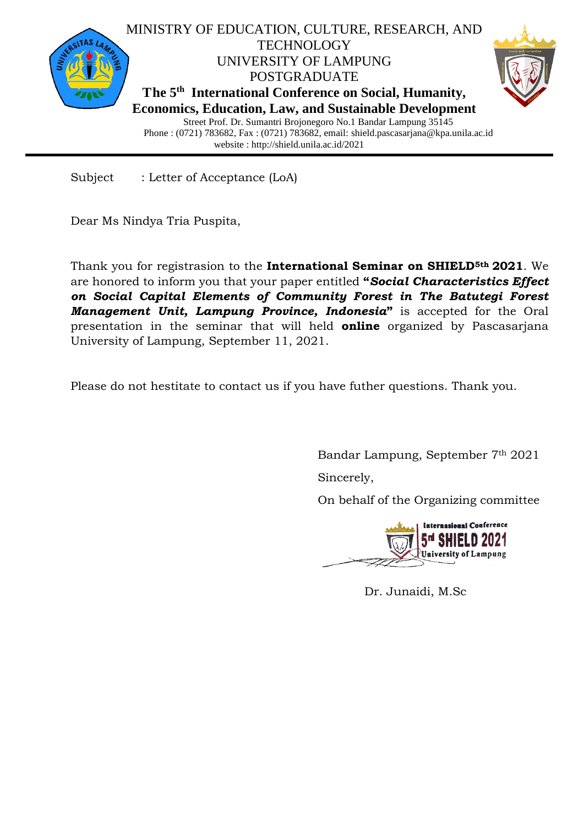

Subject : Letter of Acceptance (LoA)

Dear Ms Nindya Tria Puspita,

Thank you for registrasion to the **International Seminar on SHIELD5th 2021**. We are honored to inform you that your paper entitled **"***Social Characteristics Effect on Social Capital Elements of Community Forest in The Batutegi Forest Management Unit, Lampung Province, Indonesia***"** is accepted for the Oral presentation in the seminar that will held **online** organized by Pascasarjana University of Lampung, September 11, 2021.

Please do not hestitate to contact us if you have futher questions. Thank you.

Bandar Lampung, September 7th 2021

Sincerely,

On behalf of the Organizing committee



Dr. Junaidi, M.Sc